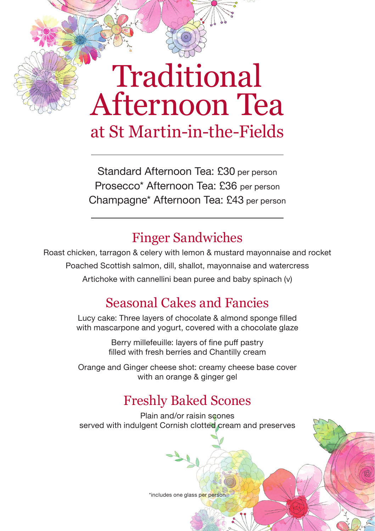# Traditional Afternoon Tea at St Martin-in-the-Fields

Standard Afternoon Tea: £30 per person Prosecco\* Afternoon Tea: £36 per person Champagne\* Afternoon Tea: £43 per person

## Finger Sandwiches

Roast chicken, tarragon & celery with lemon & mustard mayonnaise and rocket Poached Scottish salmon, dill, shallot, mayonnaise and watercress Artichoke with cannellini bean puree and baby spinach (v)

## Seasonal Cakes and Fancies

Lucy cake: Three layers of chocolate & almond sponge filled with mascarpone and yogurt, covered with a chocolate glaze

> Berry millefeuille: layers of fine puff pastry filled with fresh berries and Chantilly cream

Orange and Ginger cheese shot: creamy cheese base cover with an orange & ginger gel

# Freshly Baked Scones

Plain and/or raisin scones served with indulgent Cornish clotted cream and preserves

\*includes one glass per person